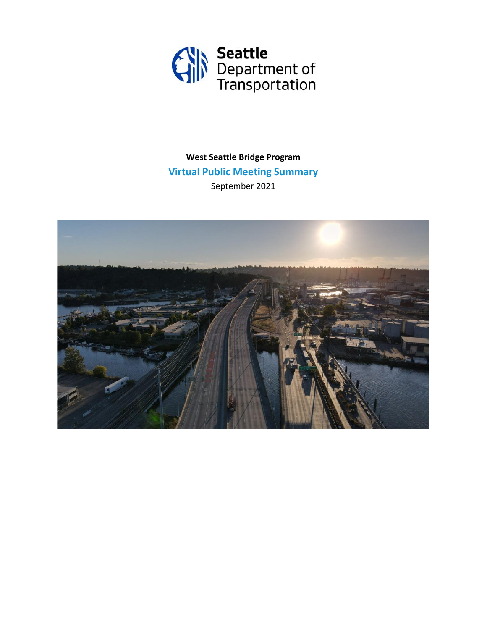

**West Seattle Bridge Program Virtual Public Meeting Summary** September 2021

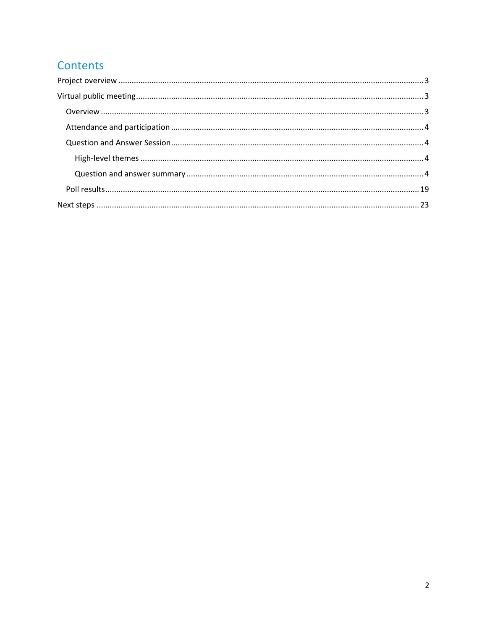# Contents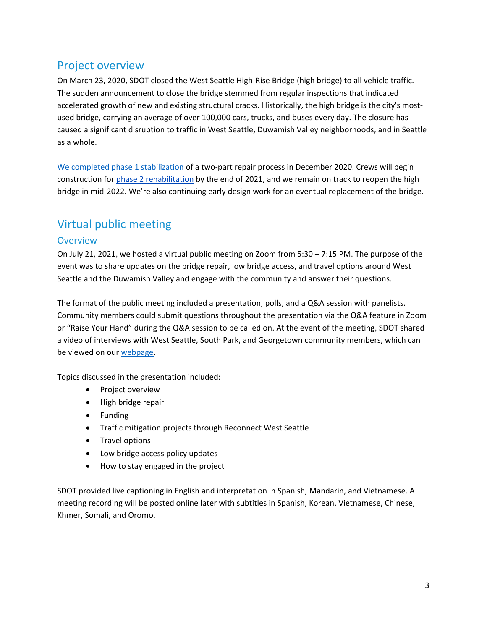# <span id="page-2-0"></span>Project overview

On March 23, 2020, SDOT closed the West Seattle High-Rise Bridge (high bridge) to all vehicle traffic. The sudden announcement to close the bridge stemmed from regular inspections that indicated accelerated growth of new and existing structural cracks. Historically, the high bridge is the city's mostused bridge, carrying an average of over 100,000 cars, trucks, and buses every day. The closure has caused a significant disruption to traffic in West Seattle, Duwamish Valley neighborhoods, and in Seattle as a whole.

[We completed phase 1 stabilization](https://sdotblog.seattle.gov/2021/01/22/the-west-seattle-bridge-was-stabilized-in-2020-through-the-emergency-efforts-of-our-expert-team-and-these-engineering-solutions/) of a two-part repair process in December 2020. Crews will begin construction for [phase 2 rehabilitation](https://www.seattle.gov/transportation/projects-and-programs/programs/bridges-stairs-and-other-structures/bridges/west-seattle-high-rise-bridge-safety-program/west-seattle-high-rise-bridge-repair) by the end of 2021, and we remain on track to reopen the high bridge in mid-2022. We're also continuing early design work for an eventual replacement of the bridge.

# <span id="page-2-1"></span>Virtual public meeting

## <span id="page-2-2"></span>**Overview**

On July 21, 2021, we hosted a virtual public meeting on Zoom from 5:30 – 7:15 PM. The purpose of the event was to share updates on the bridge repair, low bridge access, and travel options around West Seattle and the Duwamish Valley and engage with the community and answer their questions.

The format of the public meeting included a presentation, polls, and a Q&A session with panelists. Community members could submit questions throughout the presentation via the Q&A feature in Zoom or "Raise Your Hand" during the Q&A session to be called on. At the event of the meeting, SDOT shared a video of interviews with West Seattle, South Park, and Georgetown community members, which can be viewed on our [webpage.](https://www.seattle.gov/transportation/projects-and-programs/programs/bridges-stairs-and-other-structures/bridges/west-seattle-bridge-program)

Topics discussed in the presentation included:

- Project overview
- High bridge repair
- Funding
- Traffic mitigation projects through Reconnect West Seattle
- Travel options
- Low bridge access policy updates
- How to stay engaged in the project

SDOT provided live captioning in English and interpretation in Spanish, Mandarin, and Vietnamese. A meeting recording will be posted online later with subtitles in Spanish, Korean, Vietnamese, Chinese, Khmer, Somali, and Oromo.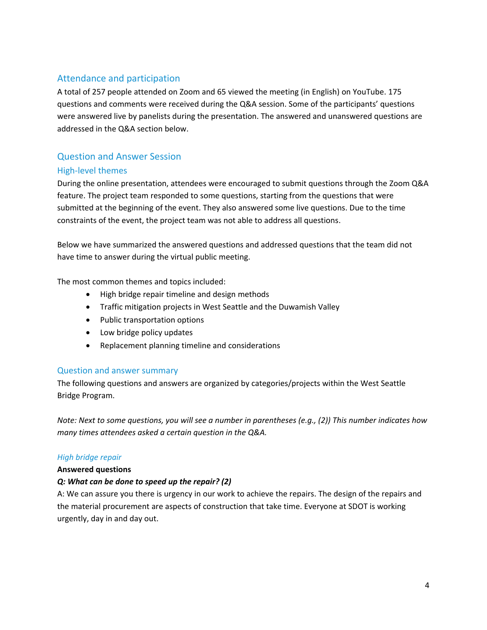# <span id="page-3-0"></span>Attendance and participation

A total of 257 people attended on Zoom and 65 viewed the meeting (in English) on YouTube. 175 questions and comments were received during the Q&A session. Some of the participants' questions were answered live by panelists during the presentation. The answered and unanswered questions are addressed in the Q&A section below.

# <span id="page-3-1"></span>Question and Answer Session

### <span id="page-3-2"></span>High-level themes

During the online presentation, attendees were encouraged to submit questions through the Zoom Q&A feature. The project team responded to some questions, starting from the questions that were submitted at the beginning of the event. They also answered some live questions. Due to the time constraints of the event, the project team was not able to address all questions.

Below we have summarized the answered questions and addressed questions that the team did not have time to answer during the virtual public meeting.

The most common themes and topics included:

- High bridge repair timeline and design methods
- Traffic mitigation projects in West Seattle and the Duwamish Valley
- Public transportation options
- Low bridge policy updates
- Replacement planning timeline and considerations

### <span id="page-3-3"></span>Question and answer summary

The following questions and answers are organized by categories/projects within the West Seattle Bridge Program.

*Note: Next to some questions, you will see a number in parentheses (e.g., (2)) This number indicates how many times attendees asked a certain question in the Q&A.*

### *High bridge repair*

### **Answered questions**

### *Q: What can be done to speed up the repair? (2)*

A: We can assure you there is urgency in our work to achieve the repairs. The design of the repairs and the material procurement are aspects of construction that take time. Everyone at SDOT is working urgently, day in and day out.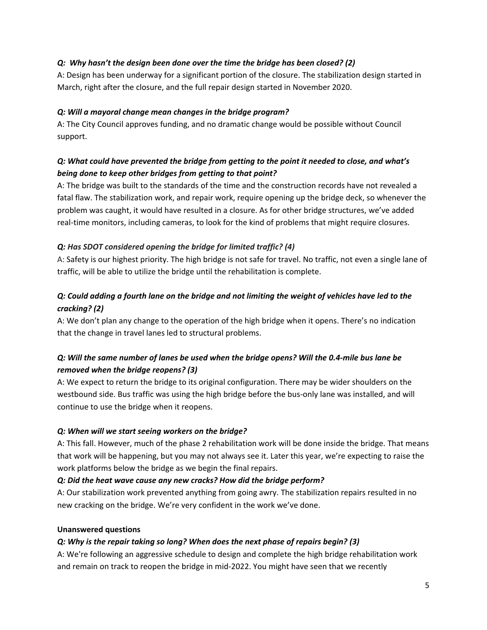### *Q: Why hasn't the design been done over the time the bridge has been closed? (2)*

A: Design has been underway for a significant portion of the closure. The stabilization design started in March, right after the closure, and the full repair design started in November 2020.

### *Q: Will a mayoral change mean changes in the bridge program?*

A: The City Council approves funding, and no dramatic change would be possible without Council support.

# *Q: What could have prevented the bridge from getting to the point it needed to close, and what's being done to keep other bridges from getting to that point?*

A: The bridge was built to the standards of the time and the construction records have not revealed a fatal flaw. The stabilization work, and repair work, require opening up the bridge deck, so whenever the problem was caught, it would have resulted in a closure. As for other bridge structures, we've added real-time monitors, including cameras, to look for the kind of problems that might require closures.

### *Q: Has SDOT considered opening the bridge for limited traffic? (4)*

A: Safety is our highest priority. The high bridge is not safe for travel. No traffic, not even a single lane of traffic, will be able to utilize the bridge until the rehabilitation is complete.

# *Q: Could adding a fourth lane on the bridge and not limiting the weight of vehicles have led to the cracking? (2)*

A: We don't plan any change to the operation of the high bridge when it opens. There's no indication that the change in travel lanes led to structural problems.

# *Q: Will the same number of lanes be used when the bridge opens? Will the 0.4-mile bus lane be removed when the bridge reopens? (3)*

A: We expect to return the bridge to its original configuration. There may be wider shoulders on the westbound side. Bus traffic was using the high bridge before the bus-only lane was installed, and will continue to use the bridge when it reopens.

### *Q: When will we start seeing workers on the bridge?*

A: This fall. However, much of the phase 2 rehabilitation work will be done inside the bridge. That means that work will be happening, but you may not always see it. Later this year, we're expecting to raise the work platforms below the bridge as we begin the final repairs.

### *Q: Did the heat wave cause any new cracks? How did the bridge perform?*

A: Our stabilization work prevented anything from going awry. The stabilization repairs resulted in no new cracking on the bridge. We're very confident in the work we've done.

### **Unanswered questions**

### *Q: Why is the repair taking so long? When does the next phase of repairs begin? (3)*

A: We're following an aggressive schedule to design and complete the high bridge rehabilitation work and remain on track to reopen the bridge in mid-2022. You might have seen that we recently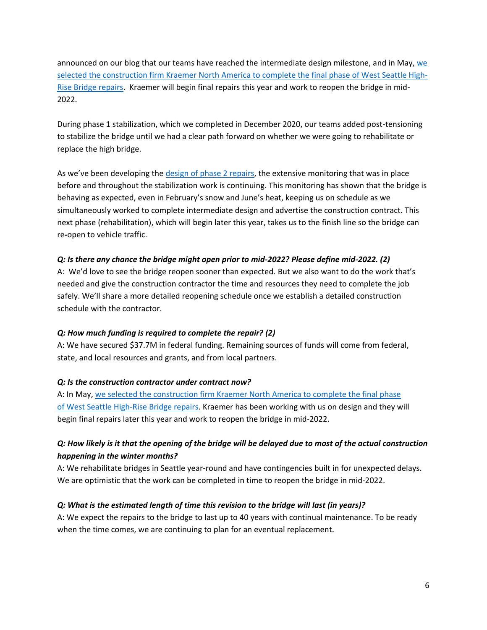announced on our blog that our teams have reached the intermediate design milestone, and in May, [we](https://sdotblog.seattle.gov/2021/05/19/kraemer-north-america-selected-to-construct-final-phase-of-west-seattle-high-rise-bridge-repairs/)  [selected the construction firm Kraemer North America to complete the final phase of West Seattle High-](https://sdotblog.seattle.gov/2021/05/19/kraemer-north-america-selected-to-construct-final-phase-of-west-seattle-high-rise-bridge-repairs/)[Rise Bridge](https://sdotblog.seattle.gov/2021/05/19/kraemer-north-america-selected-to-construct-final-phase-of-west-seattle-high-rise-bridge-repairs/) repairs. Kraemer will begin final repairs this year and work to reopen the bridge in mid-2022.

During phase 1 stabilization, which we completed in December 2020, our teams added post-tensioning to stabilize the bridge until we had a clear path forward on whether we were going to rehabilitate or replace the high bridge.

As we've been developing the [design of phase 2](https://sdotblog.seattle.gov/2021/07/14/wsb-intermediate-design/) repairs, the extensive monitoring that was in place before and throughout the stabilization work is continuing. This monitoring has shown that the bridge is behaving as expected, even in February's snow and June's heat, keeping us on schedule as we simultaneously worked to complete intermediate design and advertise the construction contract. This next phase (rehabilitation), which will begin later this year, takes us to the finish line so the bridge can re**-**open to vehicle traffic.

### *Q: Is there any chance the bridge might open prior to mid-2022? Please define mid-2022. (2)*

A: We'd love to see the bridge reopen sooner than expected. But we also want to do the work that's needed and give the construction contractor the time and resources they need to complete the job safely. We'll share a more detailed reopening schedule once we establish a detailed construction schedule with the contractor.

### *Q: How much funding is required to complete the repair? (2)*

A: We have secured \$37.7M in federal funding. Remaining sources of funds will come from federal, state, and local resources and grants, and from local partners.

### *Q: Is the construction contractor under contract now?*

A: In May, we selected [the construction firm](https://sdotblog.seattle.gov/2021/05/19/kraemer-north-america-selected-to-construct-final-phase-of-west-seattle-high-rise-bridge-repairs/) Kraemer North America to complete the final phase of [West Seattle](https://sdotblog.seattle.gov/2021/05/19/kraemer-north-america-selected-to-construct-final-phase-of-west-seattle-high-rise-bridge-repairs/) High-Rise Bridge repairs. Kraemer has been working with us on design and they will begin final repairs later this year and work to reopen the bridge in mid-2022.

# *Q: How likely is it that the opening of the bridge will be delayed due to most of the actual construction happening in the winter months?*

A: We rehabilitate bridges in Seattle year-round and have contingencies built in for unexpected delays. We are optimistic that the work can be completed in time to reopen the bridge in mid-2022.

### *Q: What is the estimated length of time this revision to the bridge will last (in years)?*

A: We expect the repairs to the bridge to last up to 40 years with continual maintenance. To be ready when the time comes, we are continuing to plan for an eventual replacement.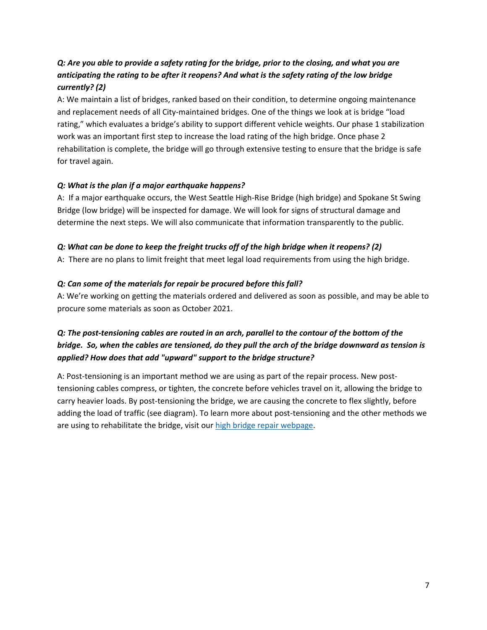# *Q: Are you able to provide a safety rating for the bridge, prior to the closing, and what you are anticipating the rating to be after it reopens? And what is the safety rating of the low bridge currently? (2)*

A: We maintain a list of bridges, ranked based on their condition, to determine ongoing maintenance and replacement needs of all City-maintained bridges. One of the things we look at is bridge "load rating," which evaluates a bridge's ability to support different vehicle weights. Our phase 1 stabilization work was an important first step to increase the load rating of the high bridge. Once phase 2 rehabilitation is complete, the bridge will go through extensive testing to ensure that the bridge is safe for travel again.

### *Q: What is the plan if a major earthquake happens?*

A: If a major earthquake occurs, the West Seattle High-Rise Bridge (high bridge) and Spokane St Swing Bridge (low bridge) will be inspected for damage. We will look for signs of structural damage and determine the next steps. We will also communicate that information transparently to the public.

### *Q: What can be done to keep the freight trucks off of the high bridge when it reopens? (2)*

A: There are no plans to limit freight that meet legal load requirements from using the high bridge.

### *Q: Can some of the materials for repair be procured before this fall?*

A: We're working on getting the materials ordered and delivered as soon as possible, and may be able to procure some materials as soon as October 2021.

# *Q: The post-tensioning cables are routed in an arch, parallel to the contour of the bottom of the bridge. So, when the cables are tensioned, do they pull the arch of the bridge downward as tension is applied? How does that add "upward" support to the bridge structure?*

A: Post-tensioning is an important method we are using as part of the repair process. New posttensioning cables compress, or tighten, the concrete before vehicles travel on it, allowing the bridge to carry heavier loads. By post-tensioning the bridge, we are causing the concrete to flex slightly, before adding the load of traffic (see diagram). To learn more about post-tensioning and the other methods we are using to rehabilitate the bridge, visit our [high bridge repair webpage.](https://www.seattle.gov/transportation/projects-and-programs/programs/bridges-stairs-and-other-structures/bridges/west-seattle-bridge-program/west-seattle-high-rise-bridge-repair)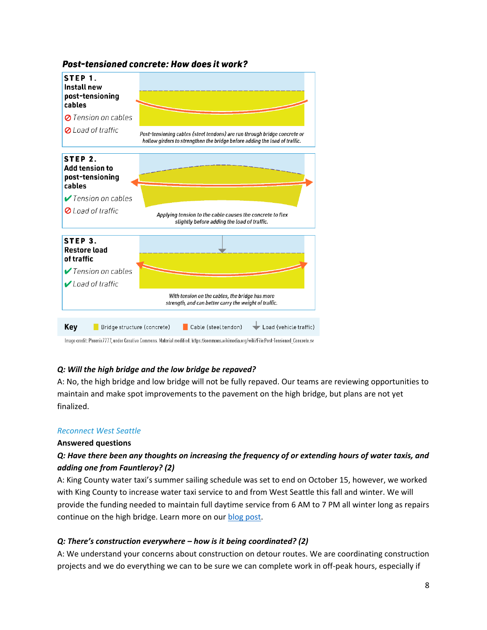

## Post-tensioned concrete: How does it work?

### *Q: Will the high bridge and the low bridge be repaved?*

A: No, the high bridge and low bridge will not be fully repaved. Our teams are reviewing opportunities to maintain and make spot improvements to the pavement on the high bridge, but plans are not yet finalized.

### *Reconnect West Seattle*

### **Answered questions**

# *Q: Have there been any thoughts on increasing the frequency of or extending hours of water taxis, and adding one from Fauntleroy? (2)*

A: King County water taxi's summer sailing schedule was set to end on October 15, however, we worked with King County to increase water taxi service to and from West Seattle this fall and winter. We will provide the funding needed to maintain full daytime service from 6 AM to 7 PM all winter long as repairs continue on the high bridge. Learn more on our [blog post.](https://lnks.gd/l/eyJhbGciOiJIUzI1NiJ9.eyJidWxsZXRpbl9saW5rX2lkIjoxMDMsInVyaSI6ImJwMjpjbGljayIsImJ1bGxldGluX2lkIjoiMjAyMTA5MTcuNDYxMTU0NzEiLCJ1cmwiOiJodHRwczovL3Nkb3RibG9nLnNlYXR0bGUuZ292LzIwMjEvMDkvMTUva2luZy1jb3VudHktd2F0ZXItdGF4aS10by1hbmQtZnJvbS13ZXN0LXNlYXR0bGUtd2lsbC1pbmNyZWFzZS1zZXJ2aWNlLXRoaXMtd2ludGVyLWZ1bmRpbmctcHJvdmlkZWQtdGhlLXNlYXR0bGUtZGVwYXJ0bWVudC1vZi10cmFuc3BvcnRhdGlvbi8_dXRtX21lZGl1bT1lbWFpbCZ1dG1fc291cmNlPWdvdmRlbGl2ZXJ5In0.mm6g5q9q4a27fpga2aHpbqUVa760bPqXYg6NylpM2_8/s/1295702473/br/112562131955-l)

### *Q: There's construction everywhere – how is it being coordinated? (2)*

A: We understand your concerns about construction on detour routes. We are coordinating construction projects and we do everything we can to be sure we can complete work in off-peak hours, especially if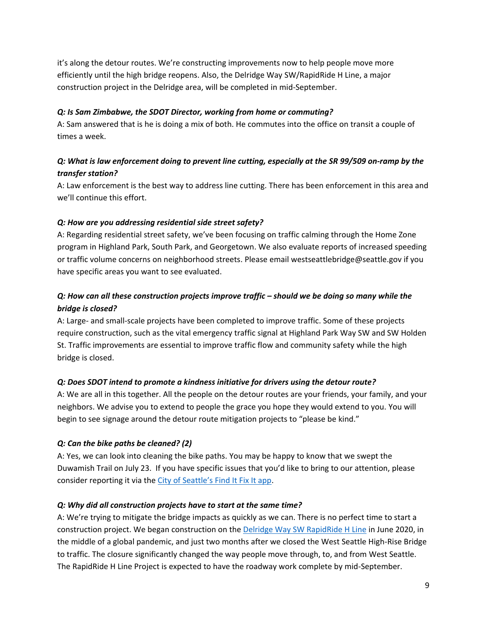it's along the detour routes. We're constructing improvements now to help people move more efficiently until the high bridge reopens. Also, the Delridge Way SW/RapidRide H Line, a major construction project in the Delridge area, will be completed in mid-September.

### *Q: Is Sam Zimbabwe, the SDOT Director, working from home or commuting?*

A: Sam answered that is he is doing a mix of both. He commutes into the office on transit a couple of times a week.

# *Q: What is law enforcement doing to prevent line cutting, especially at the SR 99/509 on-ramp by the transfer station?*

A: Law enforcement is the best way to address line cutting. There has been enforcement in this area and we'll continue this effort.

### *Q: How are you addressing residential side street safety?*

A: Regarding residential street safety, we've been focusing on traffic calming through the Home Zone program in Highland Park, South Park, and Georgetown. We also evaluate reports of increased speeding or traffic volume concerns on neighborhood streets. Please email westseattlebridge@seattle.gov if you have specific areas you want to see evaluated.

# *Q: How can all these construction projects improve traffic – should we be doing so many while the bridge is closed?*

A: Large- and small-scale projects have been completed to improve traffic. Some of these projects require construction, such as the vital emergency traffic signal at Highland Park Way SW and SW Holden St. Traffic improvements are essential to improve traffic flow and community safety while the high bridge is closed.

### *Q: Does SDOT intend to promote a kindness initiative for drivers using the detour route?*

A: We are all in this together. All the people on the detour routes are your friends, your family, and your neighbors. We advise you to extend to people the grace you hope they would extend to you. You will begin to see signage around the detour route mitigation projects to "please be kind."

### *Q: Can the bike paths be cleaned? (2)*

A: Yes, we can look into cleaning the bike paths. You may be happy to know that we swept the Duwamish Trail on July 23. If you have specific issues that you'd like to bring to our attention, please consider reporting it via the [City of Seattle's Find It Fix It app](https://www.seattle.gov/customer-service-bureau/find-it-fix-it-mobile-app).

### *Q: Why did all construction projects have to start at the same time?*

A: We're trying to mitigate the bridge impacts as quickly as we can. There is no perfect time to start a construction project. We began construction on the [Delridge Way SW RapidRide H Line](https://www.seattle.gov/transportation/projects-and-programs/programs/transit-program/transit-plus-multimodal-corridor-program/rapidride-h-line) in June 2020, in the middle of a global pandemic, and just two months after we closed the West Seattle High-Rise Bridge to traffic. The closure significantly changed the way people move through, to, and from West Seattle. The RapidRide H Line Project is expected to have the roadway work complete by mid-September.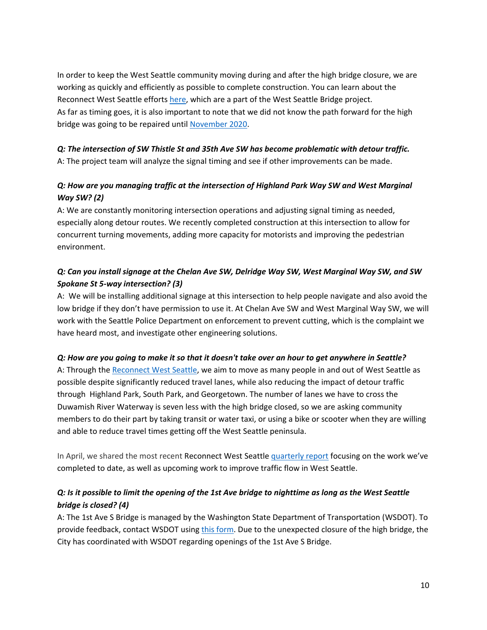In order to keep the West Seattle community moving during and after the high bridge closure, we are working as quickly and efficiently as possible to complete construction. You can learn about the Reconnect West Seattle efforts [here,](http://www.seattle.gov/transportation/projects-and-programs/programs/bridges-stairs-and-other-structures/bridges/west-seattle-high-rise-bridge-safety-program/reconnect-west-seattle-) which are a part of the West Seattle Bridge project. As far as timing goes, it is also important to note that we did not know the path forward for the high bridge was going to be repaired until [November 2020.](https://sdotblog.seattle.gov/2020/11/19/the-fastest-path-building-on-months-of-stabilization-work-major-repairs-slated-for-west-seattle-high-rise-bridge/#:~:text=Today%2C%20Mayor%20Jenny%20A.,stabilization%20work%20concludes%20in%20December.)

## *Q: The intersection of SW Thistle St and 35th Ave SW has become problematic with detour traffic.*

A: The project team will analyze the signal timing and see if other improvements can be made.

# *Q: How are you managing traffic at the intersection of Highland Park Way SW and West Marginal Way SW? (2)*

A: We are constantly monitoring intersection operations and adjusting signal timing as needed, especially along detour routes. We recently completed construction at this intersection to allow for concurrent turning movements, adding more capacity for motorists and improving the pedestrian environment.

# *Q: Can you install signage at the Chelan Ave SW, Delridge Way SW, West Marginal Way SW, and SW Spokane St 5-way intersection? (3)*

A: We will be installing additional signage at this intersection to help people navigate and also avoid the low bridge if they don't have permission to use it. At Chelan Ave SW and West Marginal Way SW, we will work with the Seattle Police Department on enforcement to prevent cutting, which is the complaint we have heard most, and investigate other engineering solutions.

### *Q: How are you going to make it so that it doesn't take over an hour to get anywhere in Seattle?*

A: Through the Reconnect West Seattle, we aim to move as many people in and out of West Seattle as possible despite significantly reduced travel lanes, while also reducing the impact of detour traffic through Highland Park, South Park, and Georgetown. The number of lanes we have to cross the Duwamish River Waterway is seven less with the high bridge closed, so we are asking community members to do their part by taking transit or water taxi, or using a bike or scooter when they are willing and able to reduce travel times getting off the West Seattle peninsula.

In April, we shared the most recent Reconnect West Seattle [quarterly report](https://sdotblog.seattle.gov/2021/04/27/our-quarterly-update-on-reconnect-west-seattle/) focusing on the work we've completed to date, as well as upcoming work to improve traffic flow in West Seattle.

# *Q: Is it possible to limit the opening of the 1st Ave bridge to nighttime as long as the West Seattle bridge is closed? (4)*

A: The 1st Ave S Bridge is managed by the Washington State Department of Transportation (WSDOT). To provide feedback, contact WSDOT using [this form.](https://wsdot.wa.gov/contact/feedback) Due to the unexpected closure of the high bridge, the City has coordinated with WSDOT regarding openings of the 1st Ave S Bridge.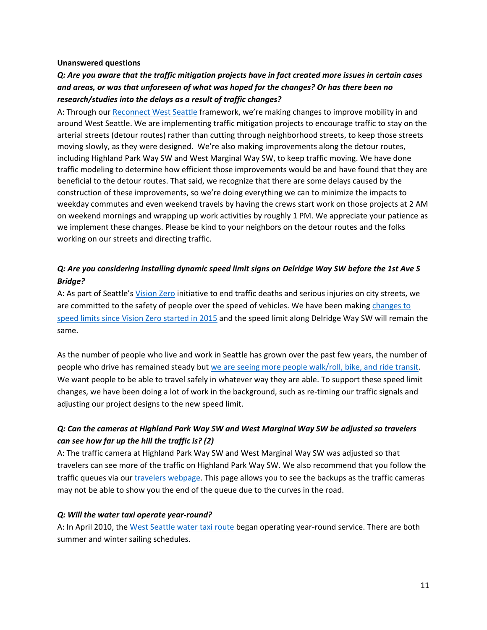#### **Unanswered questions**

# *Q: Are you aware that the traffic mitigation projects have in fact created more issues in certain cases and areas, or was that unforeseen of what was hoped for the changes? Or has there been no research/studies into the delays as a result of traffic changes?*

A: Through ou[r Reconnect West Seattle](https://www.seattle.gov/transportation/projects-and-programs/programs/bridges-stairs-and-other-structures/bridges/west-seattle-bridge-program/reconnect-west-seattle-) framework, we're making changes to improve mobility in and around West Seattle. We are implementing traffic mitigation projects to encourage traffic to stay on the arterial streets (detour routes) rather than cutting through neighborhood streets, to keep those streets moving slowly, as they were designed. We're also making improvements along the detour routes, including Highland Park Way SW and West Marginal Way SW, to keep traffic moving. We have done traffic modeling to determine how efficient those improvements would be and have found that they are beneficial to the detour routes. That said, we recognize that there are some delays caused by the construction of these improvements, so we're doing everything we can to minimize the impacts to weekday commutes and even weekend travels by having the crews start work on those projects at 2 AM on weekend mornings and wrapping up work activities by roughly 1 PM. We appreciate your patience as we implement these changes. Please be kind to your neighbors on the detour routes and the folks working on our streets and directing traffic.

## *Q: Are you considering installing dynamic speed limit signs on Delridge Way SW before the 1st Ave S Bridge?*

A: As part of Seattle's [Vision Zero](http://www.seattle.gov/visionzero) initiative to end traffic deaths and serious injuries on city streets, we are committed to the safety of people over the speed of vehicles. We have been making [changes to](https://www.seattle.gov/transportation/projects-and-programs/safety-first/vision-zero/speedlimits)  [speed limits since Vision Zero started in 2015](https://www.seattle.gov/transportation/projects-and-programs/safety-first/vision-zero/speedlimits) and the speed limit along Delridge Way SW will remain the same.

As the number of people who live and work in Seattle has grown over the past few years, the number of people who drive has remained steady but [we are seeing more people walk/roll, bike, and ride transit.](https://sdotblog.seattle.gov/2019/12/31/seattle-traffic-report-gives-an-in-depth-look-at-2018-travel-trends/) We want people to be able to travel safely in whatever way they are able. To support these speed limit changes, we have been doing a lot of work in the background, such as re-timing our traffic signals and adjusting our project designs to the new speed limit.

# *Q: Can the cameras at Highland Park Way SW and West Marginal Way SW be adjusted so travelers can see how far up the hill the traffic is? (2)*

A: The traffic camera at Highland Park Way SW and West Marginal Way SW was adjusted so that travelers can see more of the traffic on Highland Park Way SW. We also recommend that you follow the traffic queues via our [travelers webpage.](https://web6.seattle.gov/Travelers/) This page allows you to see the backups as the traffic cameras may not be able to show you the end of the queue due to the curves in the road.

### *Q: Will the water taxi operate year-round?*

A: In April 2010, the [West Seattle water taxi route](https://kingcounty.gov/depts/transportation/water-taxi/west-seattle.aspx) began operating year-round service. There are both summer and winter sailing schedules.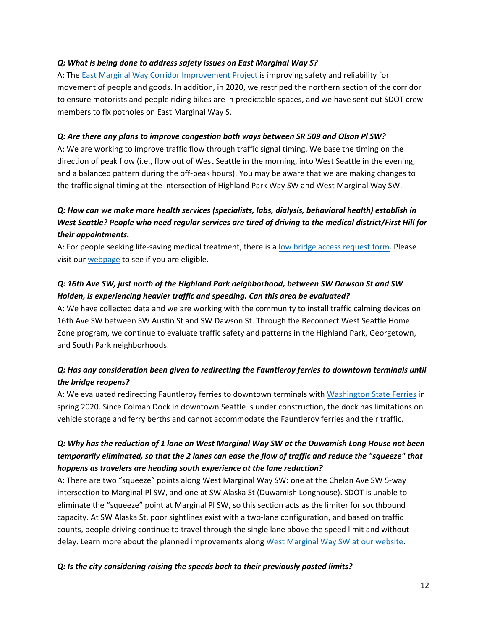### *Q: What is being done to address safety issues on East Marginal Way S?*

A: The East Marginal Way Corridor [Improvement](https://www.seattle.gov/transportation/projects-and-programs/programs/freight-program/east-marginal-way-corridor-improvement-project) Project is improving safety and reliability for movement of people and goods. In addition, in 2020, we restriped the northern section of the corridor to ensure motorists and people riding bikes are in predictable spaces, and we have sent out SDOT crew members to fix potholes on East Marginal Way S.

### *Q: Are there any plans to improve congestion both ways between SR 509 and Olson Pl SW?*

A: We are working to improve traffic flow through traffic signal timing. We base the timing on the direction of peak flow (i.e., flow out of West Seattle in the morning, into West Seattle in the evening, and a balanced pattern during the off-peak hours). You may be aware that we are making changes to the traffic signal timing at the intersection of Highland Park Way SW and West Marginal Way SW.

# *Q: How can we make more health services (specialists, labs, dialysis, behavioral health) establish in West Seattle? People who need regular services are tired of driving to the medical district/First Hill for their appointments.*

A: For people seeking life-saving medical treatment, there is a [low bridge access request form.](https://forms.office.com/Pages/ResponsePage.aspx?id=RR7meOtrCUCPmTWdi1T0G2LN7yGcqVtNhgGn-rfSUUdUQVZLTzJENDhGVVpQSTAwQVcwOUNYWlg0RS4u) Please visit our [webpage](https://www.seattle.gov/transportation/projects-and-programs/programs/bridges-stairs-and-other-structures/bridges/west-seattle-bridge-program/low-bridge-access) to see if you are eligible.

# *Q: 16th Ave SW, just north of the Highland Park neighborhood, between SW Dawson St and SW Holden, is experiencing heavier traffic and speeding. Can this area be evaluated?*

A: We have collected data and we are working with the community to install traffic calming devices on 16th Ave SW between SW Austin St and SW Dawson St. Through the Reconnect West Seattle Home Zone program, we continue to evaluate traffic safety and patterns in the Highland Park, Georgetown, and South Park neighborhoods.

# *Q: Has any consideration been given to redirecting the Fauntleroy ferries to downtown terminals until the bridge reopens?*

A: We evaluated redirecting Fauntleroy ferries to downtown terminals with [Washington State Ferries](https://wsdot.wa.gov/ferries) in spring 2020. Since Colman Dock in downtown Seattle is under construction, the dock has limitations on vehicle storage and ferry berths and cannot accommodate the Fauntleroy ferries and their traffic.

# *Q: Why has the reduction of 1 lane on West Marginal Way SW at the Duwamish Long House not been temporarily eliminated, so that the 2 lanes can ease the flow of traffic and reduce the "squeeze" that happens as travelers are heading south experience at the lane reduction?*

A: There are two "squeeze" points along West Marginal Way SW: one at the Chelan Ave SW 5-way intersection to Marginal Pl SW, and one at SW Alaska St (Duwamish Longhouse). SDOT is unable to eliminate the "squeeze" point at Marginal Pl SW, so this section acts as the limiter for southbound capacity. At SW Alaska St, poor sightlines exist with a two-lane configuration, and based on traffic counts, people driving continue to travel through the single lane above the speed limit and without delay. Learn more about the planned improvements along [West Marginal Way SW at our website.](https://www.seattle.gov/transportation/projects-and-programs/programs/bridges-stairs-and-other-structures/bridges/west-seattle-bridge-program/west-marginal-way-sw-improvements)

### *Q: Is the city considering raising the speeds back to their previously posted limits?*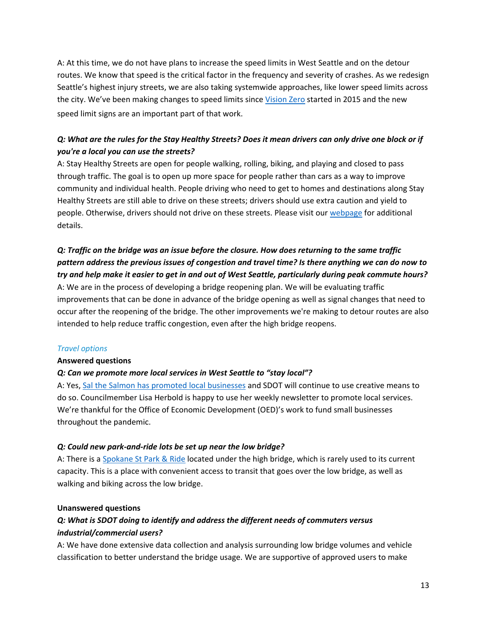A: At this time, we do not have plans to increase the speed limits in West Seattle and on the detour routes. We know that speed is the critical factor in the frequency and severity of crashes. As we redesign Seattle's highest injury streets, we are also taking systemwide approaches, like lower speed limits across the city. We've been making changes to speed limits since [Vision Zero](http://www.seattle.gov/transportation/projects-and-programs/safety-first/vision-zero) started in 2015 and the new speed limit signs are an important part of that work.

# *Q: What are the rules for the Stay Healthy Streets? Does it mean drivers can only drive one block or if you're a local you can use the streets?*

A: Stay Healthy Streets are open for people walking, rolling, biking, and playing and closed to pass through traffic. The goal is to open up more space for people rather than cars as a way to improve community and individual health. People driving who need to get to homes and destinations along Stay Healthy Streets are still able to drive on these streets; drivers should use extra caution and yield to people. Otherwise, drivers should not drive on these streets. Please visit our [webpage](https://www.seattle.gov/transportation/projects-and-programs/programs/stay-healthy-streets) for additional details.

# *Q: Traffic on the bridge was an issue before the closure. How does returning to the same traffic pattern address the previous issues of congestion and travel time? Is there anything we can do now to try and help make it easier to get in and out of West Seattle, particularly during peak commute hours?*

A: We are in the process of developing a bridge reopening plan. We will be evaluating traffic improvements that can be done in advance of the bridge opening as well as signal changes that need to occur after the reopening of the bridge. The other improvements we're making to detour routes are also intended to help reduce traffic congestion, even after the high bridge reopens.

### *Travel options*

### **Answered questions**

### *Q: Can we promote more local services in West Seattle to "stay local"?*

A: Yes, [Sal the Salmon has promoted local businesses](https://sdotblog.seattle.gov/2021/04/14/spokessalmon-sal/) and SDOT will continue to use creative means to do so. Councilmember Lisa Herbold is happy to use her weekly newsletter to promote local services. We're thankful for the Office of Economic Development (OED)'s work to fund small businesses throughout the pandemic.

### *Q: Could new park-and-ride lots be set up near the low bridge?*

A: There is a [Spokane St Park &](https://goo.gl/maps/MxnnT6kJnmK9EgTx5) Ride located under the high bridge, which is rarely used to its current capacity. This is a place with convenient access to transit that goes over the low bridge, as well as walking and biking across the low bridge.

### **Unanswered questions**

# *Q: What is SDOT doing to identify and address the different needs of commuters versus industrial/commercial users?*

A: We have done extensive data collection and analysis surrounding low bridge volumes and vehicle classification to better understand the bridge usage. We are supportive of approved users to make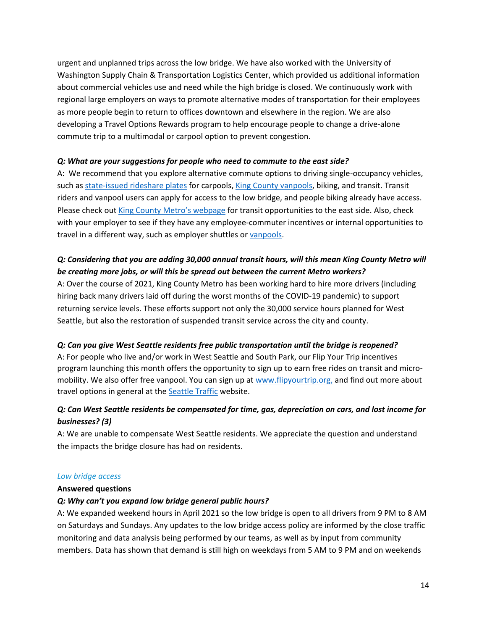urgent and unplanned trips across the low bridge. We have also worked with the University of Washington Supply Chain & Transportation Logistics Center, which provided us additional information about commercial vehicles use and need while the high bridge is closed. We continuously work with regional large employers on ways to promote alternative modes of transportation for their employees as more people begin to return to offices downtown and elsewhere in the region. We are also developing a Travel Options Rewards program to help encourage people to change a drive-alone commute trip to a multimodal or carpool option to prevent congestion.

### *Q: What are your suggestions for people who need to commute to the east side?*

A: We recommend that you explore alternative commute options to driving single-occupancy vehicles, such as [state-issued rideshare plates](https://www.dol.wa.gov/vehicleregistration/sprideshare.html) for carpools, [King County vanpools,](https://kingcounty.gov/depts/transportation/metro/travel-options/rideshare/programs/vanpool.aspx) biking, and transit. Transit riders and vanpool users can [apply for access to the low bridge,](https://forms.office.com/Pages/ResponsePage.aspx?id=RR7meOtrCUCPmTWdi1T0G2LN7yGcqVtNhgGn-rfSUUdUQVZLTzJENDhGVVpQSTAwQVcwOUNYWlg0RS4u) and people biking already have access. Please check out [King County Metro's webpage](https://kingcounty.gov/depts/transportation/metro.aspx) for transit opportunities to the east side. Also, check with your employer to see if they have any employee-commuter incentives or internal opportunities to travel in a different way, such as employer shuttles or [vanpools.](https://kingcounty.gov/depts/transportation/metro/travel-options/rideshare/programs/vanpool.aspx)

# *Q: Considering that you are adding 30,000 annual transit hours, will this mean King County Metro will be creating more jobs, or will this be spread out between the current Metro workers?*

A: Over the course of 2021, King County Metro has been working hard to hire more drivers (including hiring back many drivers laid off during the worst months of the COVID-19 pandemic) to support returning service levels. These efforts support not only the 30,000 service hours planned for West Seattle, but also the restoration of suspended transit service across the city and county.

### *Q: Can you give West Seattle residents free public transportation until the bridge is reopened?*

A: For people who live and/or work in West Seattle and South Park, our Flip Your Trip incentives program launching this month offers the opportunity to sign up to earn free rides on transit and micromobility. We also offer free vanpool. You can sign up at [www.flipyourtrip.org,](http://www.flipyourtrip.org/) and find out more about travel options in general at the **Seattle Traffic** website.

# *Q: Can West Seattle residents be compensated for time, gas, depreciation on cars, and lost income for businesses? (3)*

A: We are unable to compensate West Seattle residents. We appreciate the question and understand the impacts the bridge closure has had on residents.

#### *Low bridge access*

#### **Answered questions**

### *Q: Why can't you expand low bridge general public hours?*

A: We expanded weekend hours in April 2021 so the low bridge is open to all drivers from 9 PM to 8 AM on Saturdays and Sundays. Any updates to the low bridge access policy are informed by the close traffic monitoring and data analysis being performed by our teams, as well as by input from community members. Data has shown that demand is still high on weekdays from 5 AM to 9 PM and on weekends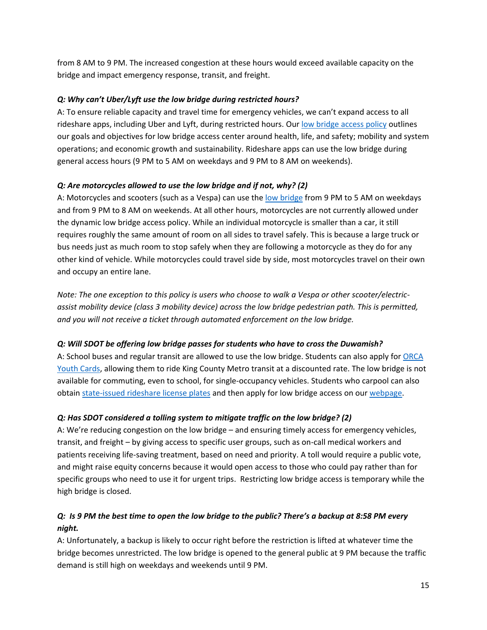from 8 AM to 9 PM. The increased congestion at these hours would exceed available capacity on the bridge and impact emergency response, transit, and freight.

### *Q: Why can't Uber/Lyft use the low bridge during restricted hours?*

A: To ensure reliable capacity and travel time for emergency vehicles, we can't expand access to all rideshare apps, including Uber and Lyft, during restricted hours. Our [low bridge access policy](https://www.seattle.gov/transportation/projects-and-programs/programs/bridges-stairs-and-other-structures/bridges/west-seattle-bridge-program/low-bridge-access) outlines our goals and objectives for low bridge access center around health, life, and safety; mobility and system operations; and economic growth and sustainability. Rideshare apps can use the low bridge during general access hours (9 PM to 5 AM on weekdays and 9 PM to 8 AM on weekends).

## *Q: Are motorcycles allowed to use the low bridge and if not, why? (2)*

A: Motorcycles and scooters (such as a Vespa) can use the [low bridge](https://www.seattle.gov/transportation/projects-and-programs/programs/bridges-stairs-and-other-structures/bridges/west-seattle-high-rise-bridge-safety-program/low-bridge) from 9 PM to 5 AM on weekdays and from 9 PM to 8 AM on weekends. At all other hours, motorcycles are not currently allowed under the dynamic low bridge access policy. While an individual motorcycle is smaller than a car, it still requires roughly the same amount of room on all sides to travel safely. This is because a large truck or bus needs just as much room to stop safely when they are following a motorcycle as they do for any other kind of vehicle. While motorcycles could travel side by side, most motorcycles travel on their own and occupy an entire lane.

*Note: The one exception to this policy is users who choose to walk a Vespa or other scooter/electricassist mobility device (class 3 mobility device) across the low bridge pedestrian path. This is permitted, and you will not receive a ticket through automated enforcement on the low bridge.*

# *Q: Will SDOT be offering low bridge passes for students who have to cross the Duwamish?*

A: School buses and regular transit are allowed to use the low bridge. Students can also apply for [ORCA](https://kingcounty.gov/depts/transportation/metro/fares-orca/orca-cards/youth.aspx)  [Youth Cards,](https://kingcounty.gov/depts/transportation/metro/fares-orca/orca-cards/youth.aspx) allowing them to ride King County Metro transit at a discounted rate. The low bridge is not available for commuting, even to school, for single-occupancy vehicles. Students who carpool can also obtain state-issued [rideshare license plates](https://www.dol.wa.gov/vehicleregistration/sprideshare.html) and then apply for low bridge access on our [webpage.](https://www.seattle.gov/transportation/projects-and-programs/programs/bridges-stairs-and-other-structures/bridges/west-seattle-high-rise-bridge-safety-program/low-bridge)

# *Q: Has SDOT considered a tolling system to mitigate traffic on the low bridge? (2)*

A: We're reducing congestion on the low bridge – and ensuring timely access for emergency vehicles, transit, and freight – by giving access to specific user groups, such as on-call medical workers and patients receiving life-saving treatment, based on need and priority. A toll would require a public vote, and might raise equity concerns because it would open access to those who could pay rather than for specific groups who need to use it for urgent trips. Restricting low bridge access is temporary while the high bridge is closed.

# *Q: Is 9 PM the best time to open the low bridge to the public? There's a backup at 8:58 PM every night.*

A: Unfortunately, a backup is likely to occur right before the restriction is lifted at whatever time the bridge becomes unrestricted. The low bridge is opened to the general public at 9 PM because the traffic demand is still high on weekdays and weekends until 9 PM.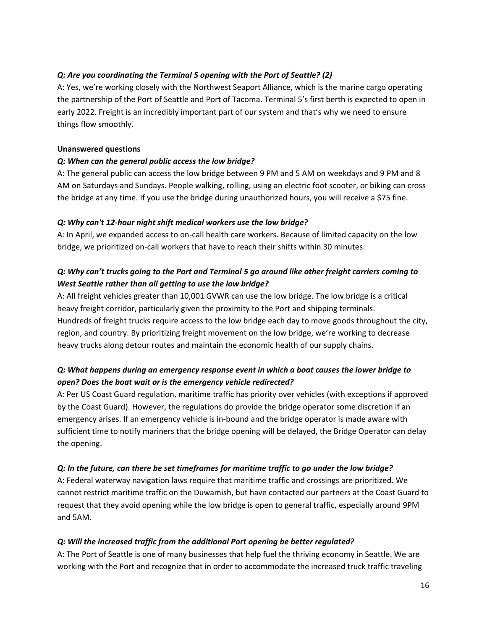### *Q: Are you coordinating the Terminal 5 opening with the Port of Seattle? (2)*

A: Yes, we're working closely with the Northwest Seaport Alliance, which is the marine cargo operating the partnership of the Port of Seattle and Port of Tacoma. Terminal 5's first berth is expected to open in early 2022. Freight is an incredibly important part of our system and that's why we need to ensure things flow smoothly.

#### **Unanswered questions**

### *Q: When can the general public access the low bridge?*

A: The general public can access the low bridge between 9 PM and 5 AM on weekdays and 9 PM and 8 AM on Saturdays and Sundays. People walking, rolling, using an electric foot scooter, or biking can cross the bridge at any time. If you use the bridge during unauthorized hours, you will receive a \$75 fine.

### *Q: Why can't 12-hour night shift medical workers use the low bridge?*

A: In April, we expanded access to on-call health care workers. Because of limited capacity on the low bridge, we prioritized on-call workers that have to reach their shifts within 30 minutes.

# *Q: Why can't trucks going to the Port and Terminal 5 go around like other freight carriers coming to West Seattle rather than all getting to use the low bridge?*

A: All freight vehicles greater than 10,001 GVWR can use the low bridge. The low bridge is a critical heavy freight corridor, particularly given the proximity to the Port and shipping terminals. Hundreds of freight trucks require access to the low bridge each day to move goods throughout the city, region, and country. By prioritizing freight movement on the low bridge, we're working to decrease heavy trucks along detour routes and maintain the economic health of our supply chains.

## *Q: What happens during an emergency response event in which a boat causes the lower bridge to open? Does the boat wait or is the emergency vehicle redirected?*

A: Per US Coast Guard regulation, maritime traffic has priority over vehicles (with exceptions if approved by the Coast Guard). However, the regulations do provide the bridge operator some discretion if an emergency arises. If an emergency vehicle is in-bound and the bridge operator is made aware with sufficient time to notify mariners that the bridge opening will be delayed, the Bridge Operator can delay the opening.

### *Q: In the future, can there be set timeframes for maritime traffic to go under the low bridge?*

A: Federal waterway navigation laws require that maritime traffic and crossings are prioritized. We cannot restrict maritime traffic on the Duwamish, but have contacted our partners at the Coast Guard to request that they avoid opening while the low bridge is open to general traffic, especially around 9PM and 5AM.

### *Q: Will the increased traffic from the additional Port opening be better regulated?*

A: The Port of Seattle is one of many businesses that help fuel the thriving economy in Seattle. We are working with the Port and recognize that in order to accommodate the increased truck traffic traveling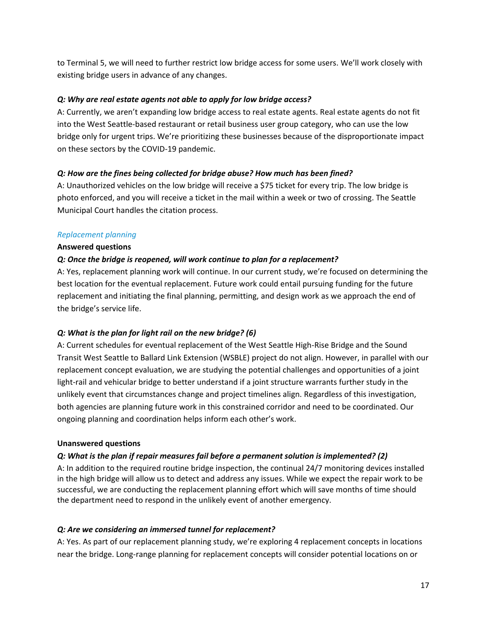to Terminal 5, we will need to further restrict low bridge access for some users. We'll work closely with existing bridge users in advance of any changes.

### *Q: Why are real estate agents not able to apply for low bridge access?*

A: Currently, we aren't expanding low bridge access to real estate agents. Real estate agents do not fit into the West Seattle-based restaurant or retail business user group category, who can use the low bridge only for urgent trips. We're prioritizing these businesses because of the disproportionate impact on these sectors by the COVID-19 pandemic.

### *Q: How are the fines being collected for bridge abuse? How much has been fined?*

A: Unauthorized vehicles on the low bridge will receive a \$75 ticket for every trip. The low bridge is photo enforced, and you will receive a ticket in the mail within a week or two of crossing. The Seattle Municipal Court handles the citation process.

### *Replacement planning*

### **Answered questions**

### *Q: Once the bridge is reopened, will work continue to plan for a replacement?*

A: Yes, replacement planning work will continue. In our current study, we're focused on determining the best location for the eventual replacement. Future work could entail pursuing funding for the future replacement and initiating the final planning, permitting, and design work as we approach the end of the bridge's service life.

### *Q: What is the plan for light rail on the new bridge? (6)*

A: Current schedules for eventual replacement of the West Seattle High-Rise Bridge and the Sound Transit West Seattle to Ballard Link Extension (WSBLE) project do not align. However, in parallel with our replacement concept evaluation, we are studying the potential challenges and opportunities of a joint light-rail and vehicular bridge to better understand if a joint structure warrants further study in the unlikely event that circumstances change and project timelines align. Regardless of this investigation, both agencies are planning future work in this constrained corridor and need to be coordinated. Our ongoing planning and coordination helps inform each other's work.

### **Unanswered questions**

### *Q: What is the plan if repair measures fail before a permanent solution is implemented? (2)*

A: In addition to the required routine bridge inspection, the continual 24/7 monitoring devices installed in the high bridge will allow us to detect and address any issues. While we expect the repair work to be successful, we are conducting the replacement planning effort which will save months of time should the department need to respond in the unlikely event of another emergency.

### *Q: Are we considering an immersed tunnel for replacement?*

A: Yes. As part of our replacement planning study, we're exploring 4 replacement concepts in locations near the bridge. Long-range planning for replacement concepts will consider potential locations on or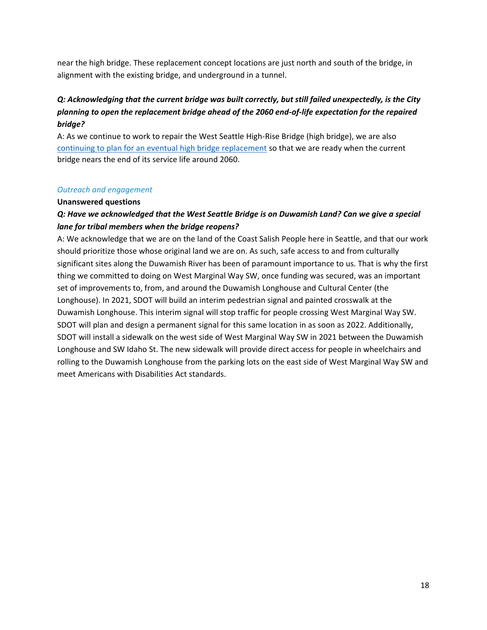near the high bridge. These replacement concept locations are just north and south of the bridge, in alignment with the existing bridge, and underground in a tunnel.

# *Q: Acknowledging that the current bridge was built correctly, but still failed unexpectedly, is the City planning to open the replacement bridge ahead of the 2060 end-of-life expectation for the repaired bridge?*

A: As we continue to work to repair the West Seattle High-Rise Bridge (high bridge), we are also [continuing to plan for an eventual high bridge replacement](https://www.seattle.gov/transportation/projects-and-programs/programs/bridges-stairs-and-other-structures/bridges/west-seattle-high-rise-bridge-safety-program/high-rise-bridge-replacement-study) so that we are ready when the current bridge nears the end of its service life around 2060.

### *Outreach and engagement*

### **Unanswered questions**

# *Q: Have we acknowledged that the West Seattle Bridge is on Duwamish Land? Can we give a special lane for tribal members when the bridge reopens?*

A: We acknowledge that we are on the land of the Coast Salish People here in Seattle, and that our work should prioritize those whose original land we are on. As such, safe access to and from culturally significant sites along the Duwamish River has been of paramount importance to us. That is why the first thing we committed to doing on West Marginal Way SW, once funding was secured, was an important set of improvements to, from, and around the Duwamish Longhouse and Cultural Center (the Longhouse). In 2021, SDOT will build an interim pedestrian signal and painted crosswalk at the Duwamish Longhouse. This interim signal will stop traffic for people crossing West Marginal Way SW. SDOT will plan and design a permanent signal for this same location in as soon as 2022. Additionally, SDOT will install a sidewalk on the west side of West Marginal Way SW in 2021 between the Duwamish Longhouse and SW Idaho St. The new sidewalk will provide direct access for people in wheelchairs and rolling to the Duwamish Longhouse from the parking lots on the east side of West Marginal Way SW and meet Americans with Disabilities Act standards.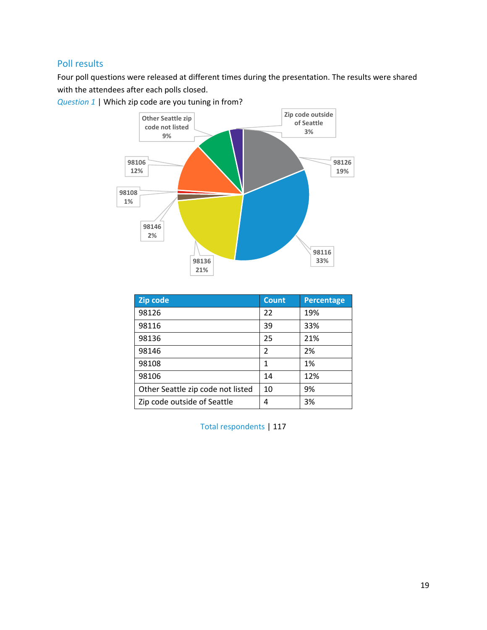# <span id="page-18-0"></span>Poll results

Four poll questions were released at different times during the presentation. The results were shared with the attendees after each polls closed.



*Question 1* | Which zip code are you tuning in from?

| Zip code                          | <b>Count</b>  | <b>Percentage</b> |
|-----------------------------------|---------------|-------------------|
| 98126                             | 22            | 19%               |
| 98116                             | 39            | 33%               |
| 98136                             | 25            | 21%               |
| 98146                             | $\mathcal{P}$ | 2%                |
| 98108                             | 1             | 1%                |
| 98106                             | 14            | 12%               |
| Other Seattle zip code not listed | 10            | 9%                |
| Zip code outside of Seattle       | 4             | 3%                |

Total respondents | 117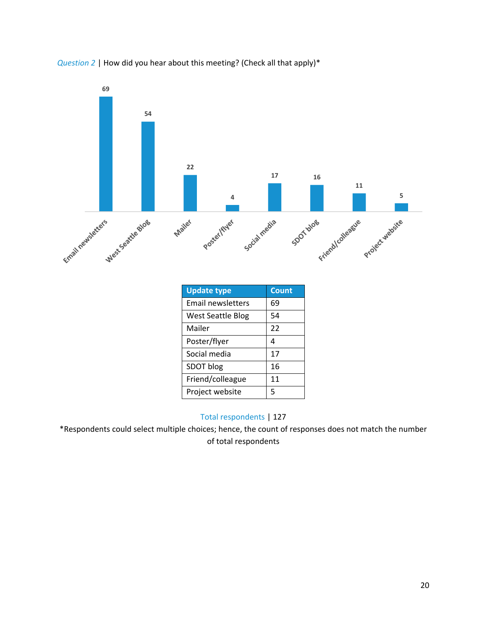



| <b>Update type</b>       | <b>Count</b> |
|--------------------------|--------------|
| Email newsletters        | 69           |
| <b>West Seattle Blog</b> | 54           |
| Mailer                   | 22           |
| Poster/flyer             | 4            |
| Social media             | 17           |
| SDOT blog                | 16           |
| Friend/colleague         | 11           |
| Project website          | 5            |

## Total respondents | 127

\*Respondents could select multiple choices; hence, the count of responses does not match the number of total respondents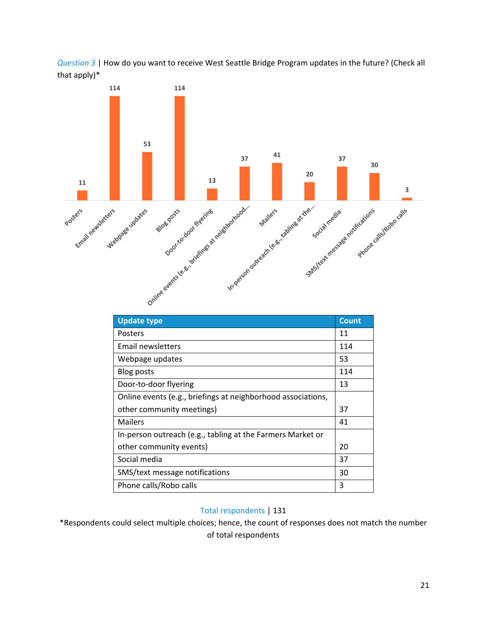



| <b>Update type</b>                                           | <b>Count</b> |
|--------------------------------------------------------------|--------------|
| Posters                                                      | 11           |
| Email newsletters                                            | 114          |
| Webpage updates                                              | 53           |
| Blog posts                                                   | 114          |
| Door-to-door flyering                                        | 13           |
| Online events (e.g., briefings at neighborhood associations, |              |
| other community meetings)                                    | 37           |
| Mailers                                                      | 41           |
| In-person outreach (e.g., tabling at the Farmers Market or   |              |
| other community events)                                      | 20           |
| Social media                                                 | 37           |
| SMS/text message notifications                               | 30           |
| Phone calls/Robo calls                                       | 3            |

### Total respondents | 131

\*Respondents could select multiple choices; hence, the count of responses does not match the number of total respondents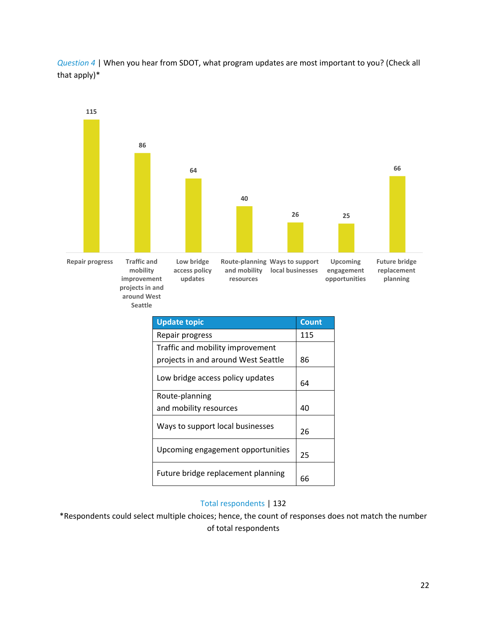*Question 4* | When you hear from SDOT, what program updates are most important to you? (Check all that apply)\*



| <b>Update topic</b>                 | <b>Count</b> |
|-------------------------------------|--------------|
| Repair progress                     | 115          |
| Traffic and mobility improvement    |              |
| projects in and around West Seattle | 86           |
| Low bridge access policy updates    | 64           |
| Route-planning                      |              |
| and mobility resources              | 40           |
| Ways to support local businesses    | 26           |
| Upcoming engagement opportunities   | 25           |
| Future bridge replacement planning  | 66           |

# Total respondents | 132

\*Respondents could select multiple choices; hence, the count of responses does not match the number of total respondents